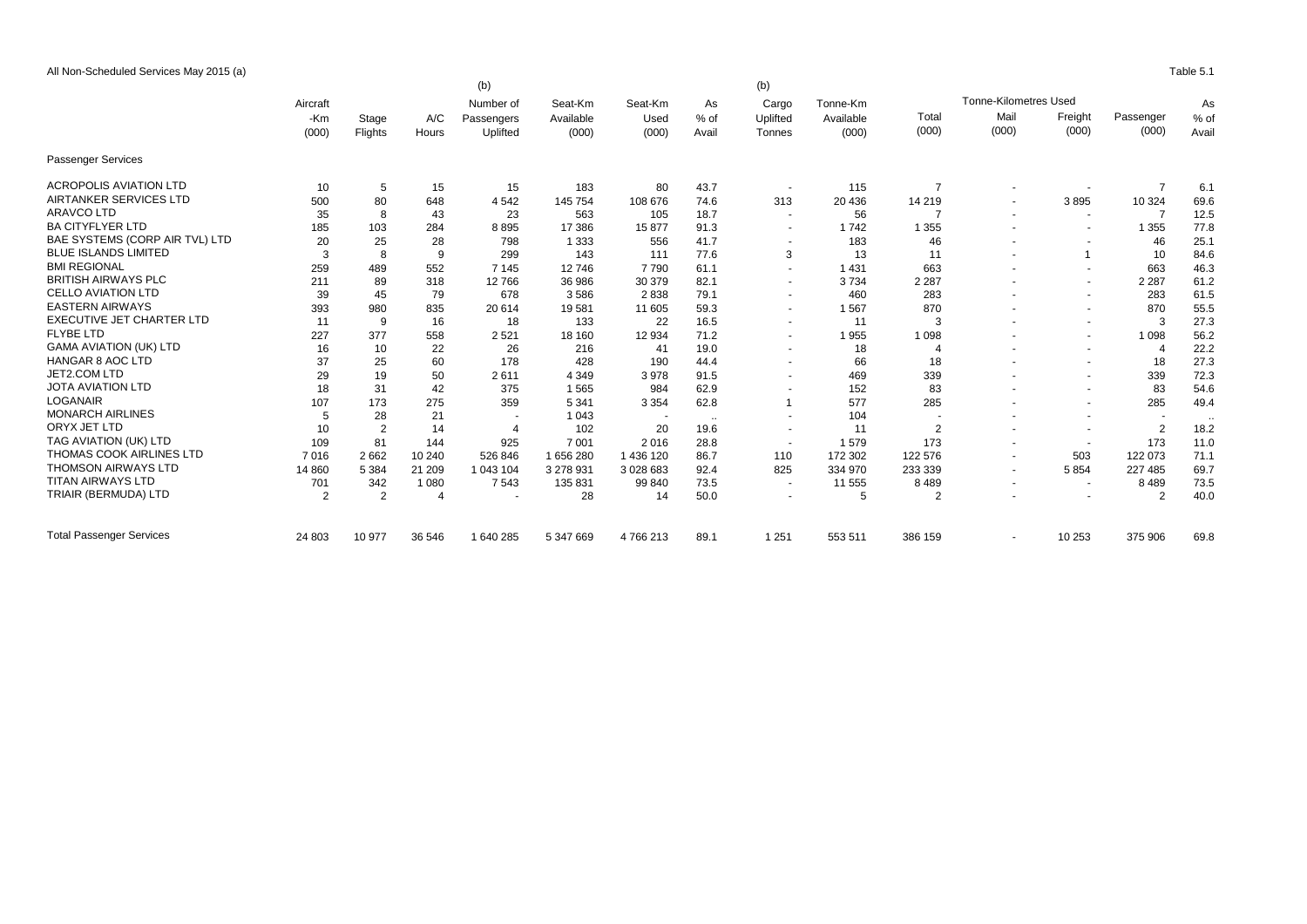All Non-Scheduled Services May 2015 (a) Table 5.1

|                                 |                |                | (b)      |                       |           |           |        | (b)                      |           |                |                              |                          |                |           |       |
|---------------------------------|----------------|----------------|----------|-----------------------|-----------|-----------|--------|--------------------------|-----------|----------------|------------------------------|--------------------------|----------------|-----------|-------|
|                                 | Aircraft       |                |          | Number of             | Seat-Km   | Seat-Km   | As     | Cargo                    | Tonne-Km  |                | <b>Tonne-Kilometres Used</b> |                          | As             |           |       |
|                                 | -Km            | Stage          | A/C      | Passengers            | Available | Used      | $%$ of | Uplifted                 | Available | Total          | Mail                         | Freight                  | Passenger      | % of      |       |
|                                 | (000)          |                | Flights  | Hours                 | Uplifted  | (000)     | (000)  | Avail                    | Tonnes    | (000)          | (000)                        | (000)                    | (000)          | (000)     | Avail |
| <b>Passenger Services</b>       |                |                |          |                       |           |           |        |                          |           |                |                              |                          |                |           |       |
| <b>ACROPOLIS AVIATION LTD</b>   | 10             | 5              | 15       | 15                    | 183       | 80        | 43.7   | $\sim$                   | 115       | $\overline{7}$ |                              |                          | $\overline{7}$ | 6.1       |       |
| AIRTANKER SERVICES LTD          | 500            | 80             | 648      | 4 5 4 2               | 145 754   | 108 676   | 74.6   | 313                      | 20 436    | 14 219         |                              | 3895                     | 10 324         | 69.6      |       |
| <b>ARAVCO LTD</b>               | 35             | 8              | 43       | 23                    | 563       | 105       | 18.7   | $\sim$                   | 56        | 7              |                              | $\sim$                   | 7              | 12.5      |       |
| <b>BA CITYFLYER LTD</b>         | 185            | 103            | 284      | 8895                  | 17 386    | 15877     | 91.3   | $\overline{\phantom{a}}$ | 1742      | 1 3 5 5        |                              |                          | 1 3 5 5        | 77.8      |       |
| BAE SYSTEMS (CORP AIR TVL) LTD  | 20             | 25             | 28       | 798                   | 1 3 3 3   | 556       | 41.7   | $\overline{\phantom{a}}$ | 183       | 46             |                              | $\overline{a}$           | 46             | 25.1      |       |
| <b>BLUE ISLANDS LIMITED</b>     | 3              | 8              | 9        | 299                   | 143       | 111       | 77.6   | 3                        | 13        | 11             |                              | $\overline{1}$           | 10             | 84.6      |       |
| <b>BMI REGIONAL</b>             | 259            | 489            | 552      | 7 1 4 5               | 12746     | 7790      | 61.1   | $\sim$                   | 1 4 3 1   | 663            |                              | $\sim$                   | 663            | 46.3      |       |
| <b>BRITISH AIRWAYS PLC</b>      | 211            | 89             | 318      | 12766                 | 36 986    | 30 379    | 82.1   | $\overline{\phantom{a}}$ | 3734      | 2 2 8 7        |                              | $\overline{\phantom{a}}$ | 2 2 8 7        | 61.2      |       |
| <b>CELLO AVIATION LTD</b>       | 39             | 45             | 79       | 678                   | 3586      | 2838      | 79.1   | $\overline{a}$           | 460       | 283            |                              | $\overline{a}$           | 283            | 61.5      |       |
| <b>EASTERN AIRWAYS</b>          | 393            | 980            | 835      | 20 614                | 19581     | 11 605    | 59.3   | $\sim$                   | 1567      | 870            |                              | $\sim$                   | 870            | 55.5      |       |
| EXECUTIVE JET CHARTER LTD       | 11             | 9              | 16       | 18                    | 133       | 22        | 16.5   | $\sim$                   | 11        | 3              |                              | $\sim$                   | 3              | 27.3      |       |
| <b>FLYBE LTD</b>                | 227            | 377            | 558      | 2521                  | 18 160    | 12 9 34   | 71.2   | $\sim$                   | 1955      | 1 0 9 8        |                              | $\sim$                   | 1 0 9 8        | 56.2      |       |
| <b>GAMA AVIATION (UK) LTD</b>   | 16             | 10             | 22       | 26                    | 216       | 41        | 19.0   | $\overline{\phantom{a}}$ | 18        | 4              |                              | $\overline{\phantom{a}}$ | 4              | 22.2      |       |
| <b>HANGAR 8 AOC LTD</b>         | 37             | 25             | 60       | 178                   | 428       | 190       | 44.4   | $\sim$                   | 66        | 18             |                              | $\sim$                   | 18             | 27.3      |       |
| JET2.COM LTD                    | 29             | 19             | 50       | 2611                  | 4 3 4 9   | 3978      | 91.5   | $\overline{\phantom{a}}$ | 469       | 339            |                              |                          | 339            | 72.3      |       |
| <b>JOTA AVIATION LTD</b>        | 18             | 31             | 42       | 375                   | 1565      | 984       | 62.9   | $\sim$                   | 152       | 83             |                              | $\overline{a}$           | 83             | 54.6      |       |
| <b>LOGANAIR</b>                 | 107            | 173            | 275      | 359                   | 5 3 4 1   | 3 3 5 4   | 62.8   | $\overline{1}$           | 577       | 285            |                              | $\overline{\phantom{a}}$ | 285            | 49.4      |       |
| <b>MONARCH AIRLINES</b>         | 5              | 28             | 21       |                       | 1 0 4 3   | ٠.        | $\sim$ | $\overline{\phantom{a}}$ | 104       |                |                              |                          |                | $\ddotsc$ |       |
| ORYX JET LTD                    | 10             | $\overline{2}$ | 14       | $\boldsymbol{\Delta}$ | 102       | 20        | 19.6   | $\overline{\phantom{a}}$ | 11        | $\overline{2}$ |                              | $\overline{\phantom{a}}$ | $\overline{2}$ | 18.2      |       |
| TAG AVIATION (UK) LTD           | 109            | 81             | 144      | 925                   | 7 0 0 1   | 2016      | 28.8   | $\overline{\phantom{a}}$ | 1579      | 173            |                              |                          | 173            | 11.0      |       |
| <b>THOMAS COOK AIRLINES LTD</b> | 7016           | 2 6 6 2        | 10 240   | 526 846               | 1656280   | 1 436 120 | 86.7   | 110                      | 172 302   | 122 576        |                              | 503                      | 122 073        | 71.1      |       |
| <b>THOMSON AIRWAYS LTD</b>      | 14 8 60        | 5 3 8 4        | 21 209   | 1 043 104             | 3 278 931 | 3 028 683 | 92.4   | 825                      | 334 970   | 233 339        |                              | 5854                     | 227 485        | 69.7      |       |
| <b>TITAN AIRWAYS LTD</b>        | 701            | 342            | 1 0 8 0  | 7 5 4 3               | 135 831   | 99 840    | 73.5   | $\sim$                   | 11 555    | 8489           |                              | $\overline{\phantom{a}}$ | 8489           | 73.5      |       |
| TRIAIR (BERMUDA) LTD            | $\overline{2}$ | $\overline{2}$ | $\Delta$ |                       | 28        | 14        | 50.0   | $\overline{\phantom{a}}$ | 5         | 2              |                              | $\overline{\phantom{a}}$ | $\overline{2}$ | 40.0      |       |
| <b>Total Passenger Services</b> | 24 803         | 10 977         | 36 546   | 1 640 285             | 5 347 669 | 4766213   | 89.1   | 1 2 5 1                  | 553 511   | 386 159        |                              | 10 253                   | 375 906        | 69.8      |       |